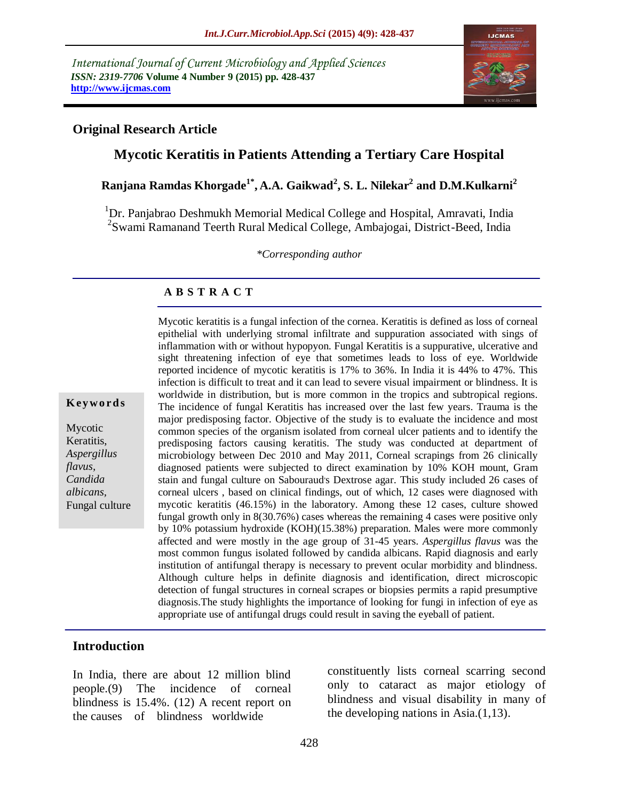*International Journal of Current Microbiology and Applied Sciences ISSN: 2319-7706* **Volume 4 Number 9 (2015) pp. 428-437 http://www.ijcmas.com**



### **Original Research Article**

# **Mycotic Keratitis in Patients Attending a Tertiary Care Hospital**

**Ranjana Ramdas Khorgade1\* , A.A. Gaikwad<sup>2</sup> , S. L. Nilekar<sup>2</sup> and D.M.Kulkarni<sup>2</sup>**

<sup>1</sup>Dr. Panjabrao Deshmukh Memorial Medical College and Hospital, Amravati, India <sup>2</sup>Swami Ramanand Teerth Rural Medical College, Ambajogai, District-Beed, India

*\*Corresponding author*

#### **A B S T R A C T**

**K ey w o rd s**

Mycotic Keratitis, *Aspergillus flavus, Candida albicans,* Fungal culture epithelial with underlying stromal infiltrate and suppuration associated with sings of inflammation with or without hypopyon. Fungal Keratitis is a suppurative, ulcerative and sight threatening infection of eye that sometimes leads to loss of eye. Worldwide reported incidence of mycotic keratitis is 17% to 36%. In India it is 44% to 47%. This infection is difficult to treat and it can lead to severe visual impairment or blindness. It is worldwide in distribution, but is more common in the tropics and subtropical regions. The incidence of fungal Keratitis has increased over the last few years. Trauma is the major predisposing factor. Objective of the study is to evaluate the incidence and most common species of the organism isolated from corneal ulcer patients and to identify the predisposing factors causing keratitis. The study was conducted at department of microbiology between Dec 2010 and May 2011, Corneal scrapings from 26 clinically diagnosed patients were subjected to direct examination by 10% KOH mount, Gram stain and fungal culture on Sabouraud's Dextrose agar. This study included 26 cases of corneal ulcers , based on clinical findings, out of which, 12 cases were diagnosed with mycotic keratitis (46.15%) in the laboratory. Among these 12 cases, culture showed fungal growth only in 8(30.76%) cases whereas the remaining 4 cases were positive only by 10% potassium hydroxide (KOH)(15.38%) preparation. Males were more commonly affected and were mostly in the age group of 31-45 years. *Aspergillus flavus* was the most common fungus isolated followed by candida albicans. Rapid diagnosis and early institution of antifungal therapy is necessary to prevent ocular morbidity and blindness. Although culture helps in definite diagnosis and identification, direct microscopic detection of fungal structures in corneal scrapes or biopsies permits a rapid presumptive diagnosis.The study highlights the importance of looking for fungi in infection of eye as appropriate use of antifungal drugs could result in saving the eyeball of patient.

Mycotic keratitis is a fungal infection of the cornea. Keratitis is defined as loss of corneal

#### **Introduction**

In India, there are about 12 million blind people.(9) The incidence of corneal blindness is 15.4%. (12) A recent report on the causes of blindness worldwide

constituently lists corneal scarring second only to cataract as major etiology of blindness and visual disability in many of the developing nations in Asia.(1,13).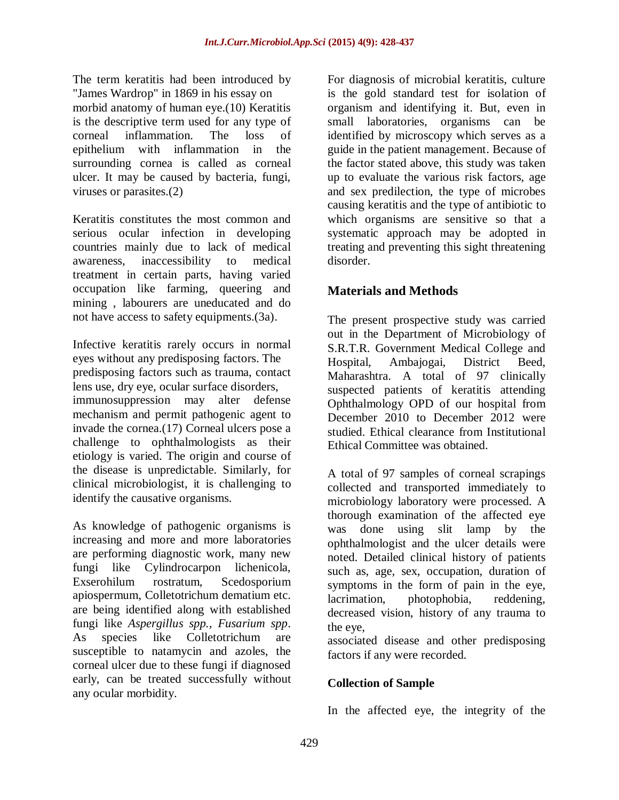The term keratitis had been introduced by "James Wardrop" in 1869 in his essay on morbid anatomy of human eye.(10) Keratitis is the descriptive term used for any type of corneal inflammation. The loss of epithelium with inflammation in the surrounding cornea is called as corneal ulcer. It may be caused by bacteria, fungi, viruses or parasites.(2)

Keratitis constitutes the most common and serious ocular infection in developing countries mainly due to lack of medical awareness, inaccessibility to medical treatment in certain parts, having varied occupation like farming, queering and mining , labourers are uneducated and do not have access to safety equipments.(3a).

Infective keratitis rarely occurs in normal eyes without any predisposing factors. The predisposing factors such as trauma, contact lens use, dry eye, ocular surface disorders, immunosuppression may alter defense mechanism and permit pathogenic agent to invade the cornea.(17) Corneal ulcers pose a challenge to ophthalmologists as their etiology is varied. The origin and course of the disease is unpredictable. Similarly, for clinical microbiologist, it is challenging to identify the causative organisms.

As knowledge of pathogenic organisms is increasing and more and more laboratories are performing diagnostic work, many new fungi like Cylindrocarpon lichenicola, Exserohilum rostratum, Scedosporium apiospermum, Colletotrichum dematium etc. are being identified along with established fungi like *Aspergillus spp., Fusarium spp*. As species like Colletotrichum are susceptible to natamycin and azoles, the corneal ulcer due to these fungi if diagnosed early, can be treated successfully without any ocular morbidity.

For diagnosis of microbial keratitis, culture is the gold standard test for isolation of organism and identifying it. But, even in small laboratories, organisms can be identified by microscopy which serves as a guide in the patient management. Because of the factor stated above, this study was taken up to evaluate the various risk factors, age and sex predilection, the type of microbes causing keratitis and the type of antibiotic to which organisms are sensitive so that a systematic approach may be adopted in treating and preventing this sight threatening disorder.

# **Materials and Methods**

The present prospective study was carried out in the Department of Microbiology of S.R.T.R. Government Medical College and Hospital, Ambajogai, District Beed, Maharashtra. A total of 97 clinically suspected patients of keratitis attending Ophthalmology OPD of our hospital from December 2010 to December 2012 were studied. Ethical clearance from Institutional Ethical Committee was obtained.

A total of 97 samples of corneal scrapings collected and transported immediately to microbiology laboratory were processed. A thorough examination of the affected eye was done using slit lamp by the ophthalmologist and the ulcer details were noted. Detailed clinical history of patients such as, age, sex, occupation, duration of symptoms in the form of pain in the eye, lacrimation, photophobia, reddening, decreased vision, history of any trauma to the eye,

associated disease and other predisposing factors if any were recorded.

# **Collection of Sample**

In the affected eye, the integrity of the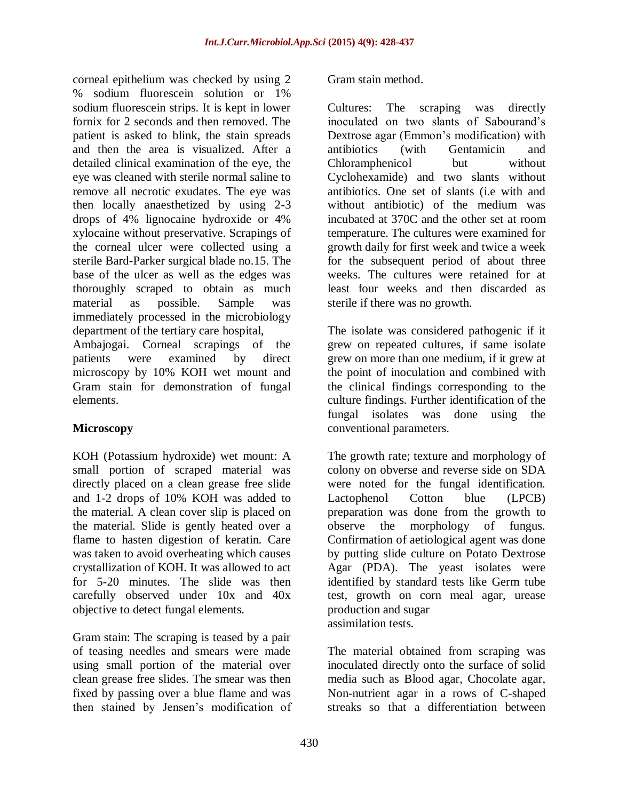corneal epithelium was checked by using 2 % sodium fluorescein solution or 1% sodium fluorescein strips. It is kept in lower fornix for 2 seconds and then removed. The patient is asked to blink, the stain spreads and then the area is visualized. After a detailed clinical examination of the eye, the eye was cleaned with sterile normal saline to remove all necrotic exudates. The eye was then locally anaesthetized by using 2-3 drops of 4% lignocaine hydroxide or 4% xylocaine without preservative. Scrapings of the corneal ulcer were collected using a sterile Bard-Parker surgical blade no.15. The base of the ulcer as well as the edges was thoroughly scraped to obtain as much material as possible. Sample was immediately processed in the microbiology department of the tertiary care hospital, Ambajogai. Corneal scrapings of the patients were examined by direct microscopy by 10% KOH wet mount and Gram stain for demonstration of fungal elements.

# **Microscopy**

KOH (Potassium hydroxide) wet mount: A small portion of scraped material was directly placed on a clean grease free slide and 1-2 drops of 10% KOH was added to the material. A clean cover slip is placed on the material. Slide is gently heated over a flame to hasten digestion of keratin. Care was taken to avoid overheating which causes crystallization of KOH. It was allowed to act for 5-20 minutes. The slide was then carefully observed under 10x and 40x objective to detect fungal elements.

Gram stain: The scraping is teased by a pair of teasing needles and smears were made using small portion of the material over clean grease free slides. The smear was then fixed by passing over a blue flame and was then stained by Jensen's modification of

Gram stain method.

Cultures: The scraping was directly inoculated on two slants of Sabourand's Dextrose agar (Emmon's modification) with antibiotics (with Gentamicin and Chloramphenicol but without Cyclohexamide) and two slants without antibiotics. One set of slants (i.e with and without antibiotic) of the medium was incubated at 370C and the other set at room temperature. The cultures were examined for growth daily for first week and twice a week for the subsequent period of about three weeks. The cultures were retained for at least four weeks and then discarded as sterile if there was no growth.

The isolate was considered pathogenic if it grew on repeated cultures, if same isolate grew on more than one medium, if it grew at the point of inoculation and combined with the clinical findings corresponding to the culture findings. Further identification of the fungal isolates was done using the conventional parameters.

The growth rate; texture and morphology of colony on obverse and reverse side on SDA were noted for the fungal identification. Lactophenol Cotton blue (LPCB) preparation was done from the growth to observe the morphology of fungus. Confirmation of aetiological agent was done by putting slide culture on Potato Dextrose Agar (PDA). The yeast isolates were identified by standard tests like Germ tube test, growth on corn meal agar, urease production and sugar assimilation tests.

The material obtained from scraping was inoculated directly onto the surface of solid media such as Blood agar, Chocolate agar, Non-nutrient agar in a rows of C-shaped streaks so that a differentiation between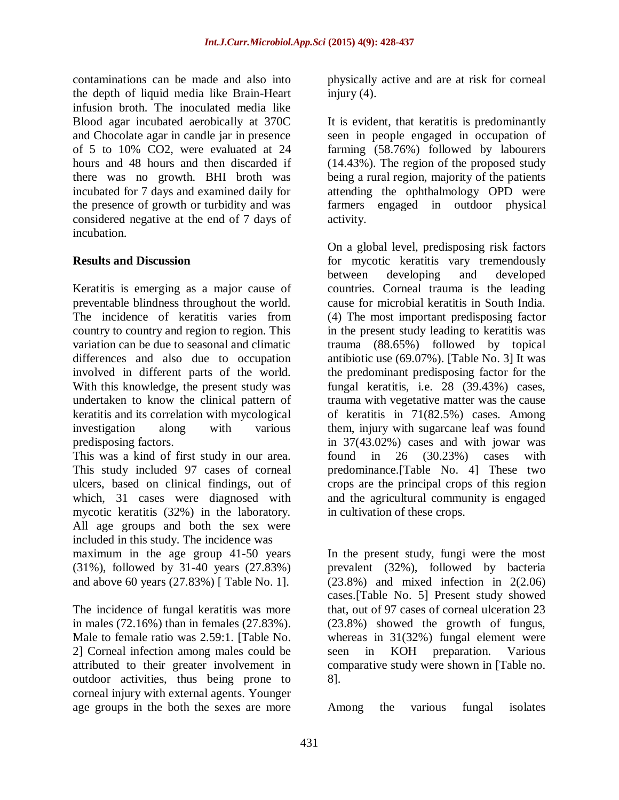contaminations can be made and also into the depth of liquid media like Brain-Heart infusion broth. The inoculated media like Blood agar incubated aerobically at 370C and Chocolate agar in candle jar in presence of 5 to 10% CO2, were evaluated at 24 hours and 48 hours and then discarded if there was no growth. BHI broth was incubated for 7 days and examined daily for the presence of growth or turbidity and was considered negative at the end of 7 days of incubation.

### **Results and Discussion**

Keratitis is emerging as a major cause of preventable blindness throughout the world. The incidence of keratitis varies from country to country and region to region. This variation can be due to seasonal and climatic differences and also due to occupation involved in different parts of the world. With this knowledge, the present study was undertaken to know the clinical pattern of keratitis and its correlation with mycological investigation along with various predisposing factors.

This was a kind of first study in our area. This study included 97 cases of corneal ulcers, based on clinical findings, out of which, 31 cases were diagnosed with mycotic keratitis (32%) in the laboratory. All age groups and both the sex were included in this study. The incidence was maximum in the age group 41-50 years (31%), followed by 31-40 years (27.83%) and above 60 years (27.83%) [ Table No. 1].

The incidence of fungal keratitis was more in males (72.16%) than in females (27.83%). Male to female ratio was 2.59:1. [Table No. 2] Corneal infection among males could be attributed to their greater involvement in outdoor activities, thus being prone to corneal injury with external agents. Younger age groups in the both the sexes are more

physically active and are at risk for corneal injury  $(4)$ .

It is evident, that keratitis is predominantly seen in people engaged in occupation of farming (58.76%) followed by labourers (14.43%). The region of the proposed study being a rural region, majority of the patients attending the ophthalmology OPD were farmers engaged in outdoor physical activity.

On a global level, predisposing risk factors for mycotic keratitis vary tremendously between developing and developed countries. Corneal trauma is the leading cause for microbial keratitis in South India. (4) The most important predisposing factor in the present study leading to keratitis was trauma (88.65%) followed by topical antibiotic use (69.07%). [Table No. 3] It was the predominant predisposing factor for the fungal keratitis, i.e. 28 (39.43%) cases, trauma with vegetative matter was the cause of keratitis in 71(82.5%) cases. Among them, injury with sugarcane leaf was found in 37(43.02%) cases and with jowar was found in 26 (30.23%) cases with predominance.[Table No. 4] These two crops are the principal crops of this region and the agricultural community is engaged in cultivation of these crops.

In the present study, fungi were the most prevalent (32%), followed by bacteria (23.8%) and mixed infection in 2(2.06) cases.[Table No. 5] Present study showed that, out of 97 cases of corneal ulceration 23 (23.8%) showed the growth of fungus, whereas in 31(32%) fungal element were seen in KOH preparation. Various comparative study were shown in [Table no. 8].

Among the various fungal isolates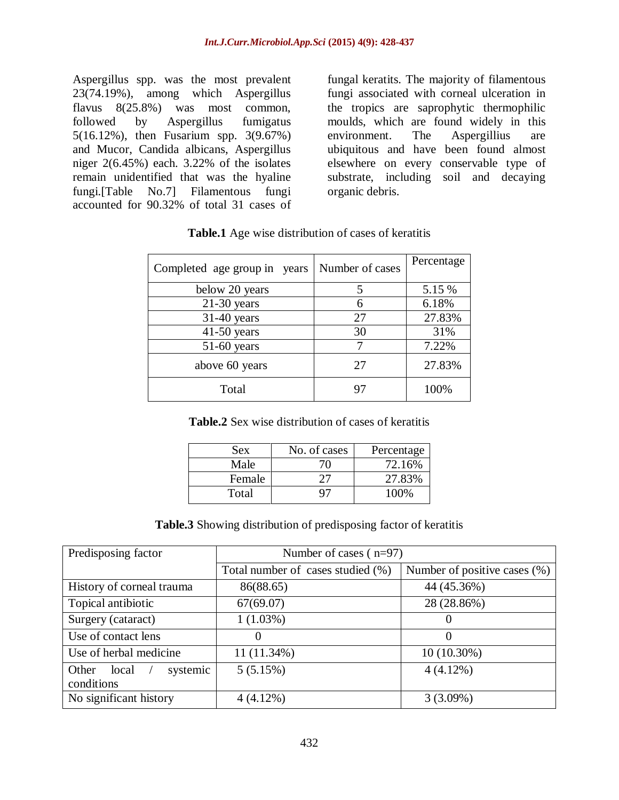Aspergillus spp. was the most prevalent 23(74.19%), among which Aspergillus flavus 8(25.8%) was most common, followed by Aspergillus fumigatus 5(16.12%), then Fusarium spp. 3(9.67%) and Mucor, Candida albicans, Aspergillus niger 2(6.45%) each. 3.22% of the isolates remain unidentified that was the hyaline fungi.[Table No.7] Filamentous fungi accounted for 90.32% of total 31 cases of

fungal keratits. The majority of filamentous fungi associated with corneal ulceration in the tropics are saprophytic thermophilic moulds, which are found widely in this environment. The Aspergillius are ubiquitous and have been found almost elsewhere on every conservable type of substrate, including soil and decaying organic debris.

| Completed age group in years | Number of cases | Percentage |
|------------------------------|-----------------|------------|
| below 20 years               |                 | 5.15 %     |
| $21-30$ years                |                 | 6.18%      |
| $31-40$ years                | 27              | 27.83%     |
| $41-50$ years                | 30              | 31%        |
| $51-60$ years                |                 | 7.22%      |
| above 60 years               | 27              | 27.83%     |
| Total                        |                 | 100%       |

| <b>Table.1</b> Age wise distribution of cases of keratitis |  |  |
|------------------------------------------------------------|--|--|
|------------------------------------------------------------|--|--|

**Table.2** Sex wise distribution of cases of keratitis

| Sex    | No. of cases | Percentage |
|--------|--------------|------------|
| Male   |              | 72.16%     |
| Female |              | 27.83%     |
| Total  |              | 100%       |

**Table.3** Showing distribution of predisposing factor of keratitis

| Predisposing factor        | Number of cases $(n=97)$          |                              |
|----------------------------|-----------------------------------|------------------------------|
|                            | Total number of cases studied (%) | Number of positive cases (%) |
| History of corneal trauma  | 86(88.65)                         | 44 (45.36%)                  |
| Topical antibiotic         | 67(69.07)                         | 28 (28.86%)                  |
| Surgery (cataract)         | $1(1.03\%)$                       | $\theta$                     |
| Use of contact lens        | $\theta$                          | $\Omega$                     |
| Use of herbal medicine     | 11 (11.34%)                       | $10(10.30\%)$                |
| systemic<br>Other<br>local | 5(5.15%)                          | $4(4.12\%)$                  |
| conditions                 |                                   |                              |
| No significant history     | $4(4.12\%)$                       | 3(3.09%)                     |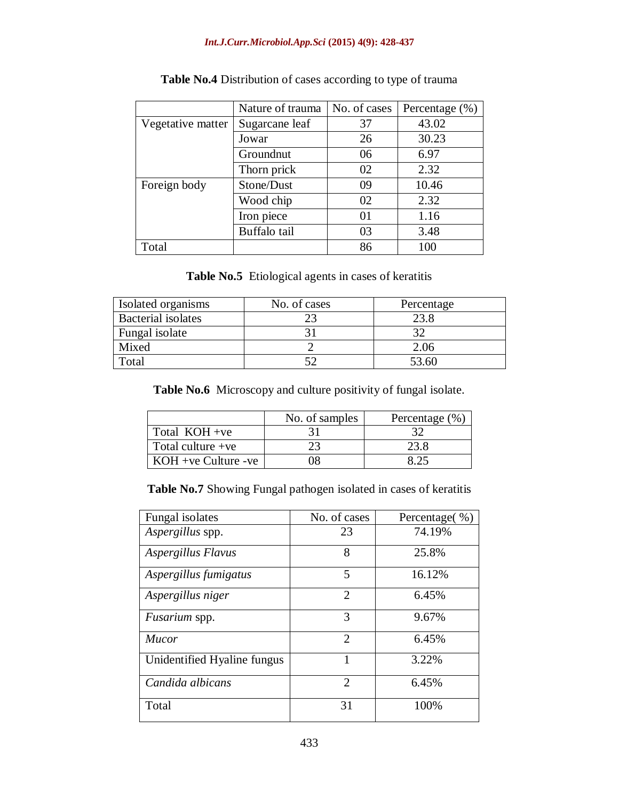#### *Int.J.Curr.Microbiol.App.Sci* **(2015) 4(9): 428-437**

|                   | Nature of trauma | No. of cases | Percentage $(\% )$ |
|-------------------|------------------|--------------|--------------------|
| Vegetative matter | Sugarcane leaf   | 37           | 43.02              |
|                   | Jowar            | 26           | 30.23              |
|                   | Groundnut        | 06           | 6.97               |
|                   | Thorn prick      | 02           | 2.32               |
| Foreign body      | Stone/Dust       | 09           | 10.46              |
|                   | Wood chip        | 02           | 2.32               |
|                   | Iron piece       | 01           | 1.16               |
|                   | Buffalo tail     | 03           | 3.48               |
| Total             |                  | 86           | 100                |

| Table No.4 Distribution of cases according to type of trauma |  |  |  |  |  |
|--------------------------------------------------------------|--|--|--|--|--|
|--------------------------------------------------------------|--|--|--|--|--|

**Table No.5** Etiological agents in cases of keratitis

| Isolated organisms        | No. of cases | Percentage |
|---------------------------|--------------|------------|
| <b>Bacterial</b> isolates |              | 23.8       |
| Fungal isolate            |              |            |
| Mixed                     |              | 2.06       |
| Total                     |              | 53.60      |

**Table No.6** Microscopy and culture positivity of fungal isolate.

|                       | No. of samples | Percentage $(\% )$ |
|-----------------------|----------------|--------------------|
| Total KOH +ve         |                |                    |
| Total culture $+ve$   |                | 23.8               |
| $KOH +ve$ Culture -ve |                |                    |

**Table No.7** Showing Fungal pathogen isolated in cases of keratitis

| Fungal isolates             | No. of cases                | Percentage(%) |
|-----------------------------|-----------------------------|---------------|
| Aspergillus spp.            | 23                          | 74.19%        |
| Aspergillus Flavus          | 8                           | 25.8%         |
| Aspergillus fumigatus       | 5                           | 16.12%        |
| Aspergillus niger           | $\mathcal{D}_{\mathcal{L}}$ | 6.45%         |
| Fusarium spp.               | 3                           | 9.67%         |
| Mucor                       | $\mathcal{D}_{\mathcal{L}}$ | 6.45%         |
| Unidentified Hyaline fungus |                             | 3.22%         |
| Candida albicans            | $\mathcal{D}_{\mathcal{L}}$ | 6.45%         |
| Total                       | 31                          | 100%          |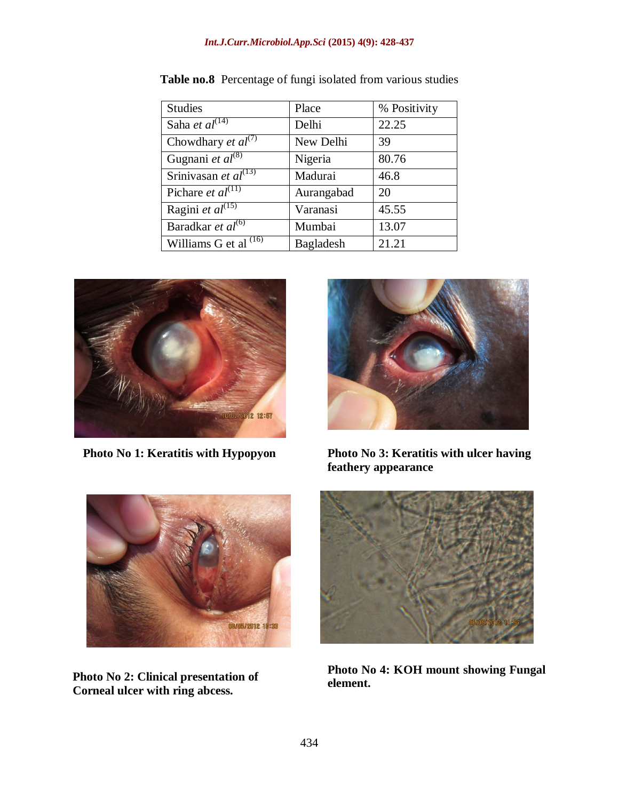#### *Int.J.Curr.Microbiol.App.Sci* **(2015) 4(9): 428-437**

| <b>Studies</b>                       | Place            | % Positivity |
|--------------------------------------|------------------|--------------|
| Saha et $al^{\overline{(14)}}$       | Delhi            | 22.25        |
| Chowdhary et $al^{(7)}$              | New Delhi        | 39           |
| Gugnani et $al^{(8)}$                | Nigeria          | 80.76        |
| Srinivasan et $al^{\overline{(13)}}$ | Madurai          | 46.8         |
| Pichare et $al^{(1)}$                | Aurangabad       | 20           |
| Ragini et $\overline{al^{(15)}}$     | Varanasi         | 45.55        |
| Baradkar et $al^{(6)}$               | Mumbai           | 13.07        |
| Williams G et al $(16)$              | <b>Bagladesh</b> | 21.21        |

**Table no.8** Percentage of fungi isolated from various studies



 **Photo No 1: Keratitis with Hypopyon**



**Photo No 3: Keratitis with ulcer having feathery appearance**



**Photo No 2: Clinical presentation of Corneal ulcer with ring abcess.**



**Photo No 4: KOH mount showing Fungal element.**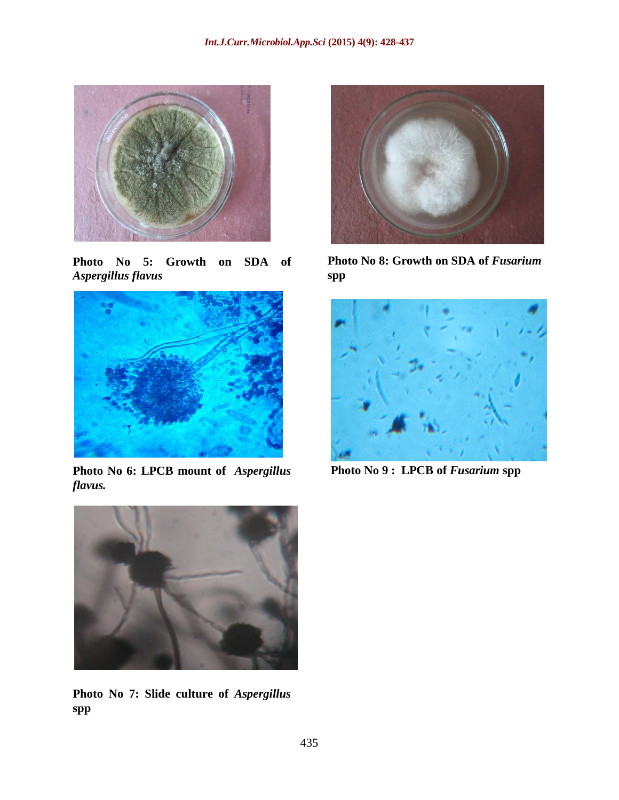

**Photo No 5: Growth on SDA of**  *Aspergillus flavus*



**Photo No 6: LPCB mount of** *Aspergillus flavus.*



Photo No 8: Growth on SDA of *Fusarium* **spp**



**Photo No 9 : LPCB of** *Fusarium* **spp**



**Photo No 7: Slide culture of** *Aspergillus* **spp**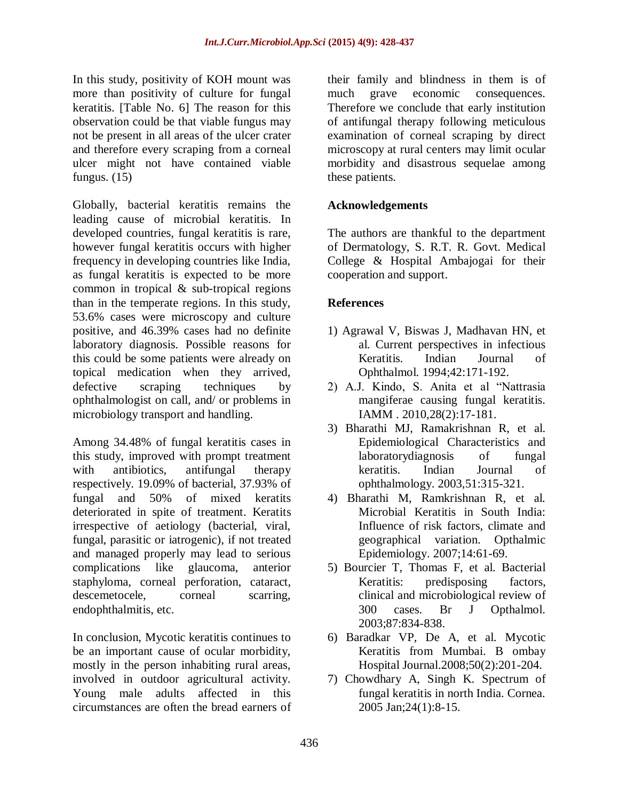In this study, positivity of KOH mount was more than positivity of culture for fungal keratitis. [Table No. 6] The reason for this observation could be that viable fungus may not be present in all areas of the ulcer crater and therefore every scraping from a corneal ulcer might not have contained viable fungus.  $(15)$ 

Globally, bacterial keratitis remains the leading cause of microbial keratitis. In developed countries, fungal keratitis is rare, however fungal keratitis occurs with higher frequency in developing countries like India, as fungal keratitis is expected to be more common in tropical & sub-tropical regions than in the temperate regions. In this study, 53.6% cases were microscopy and culture positive, and 46.39% cases had no definite laboratory diagnosis. Possible reasons for this could be some patients were already on topical medication when they arrived, defective scraping techniques by ophthalmologist on call, and/ or problems in microbiology transport and handling.

Among 34.48% of fungal keratitis cases in this study, improved with prompt treatment with antibiotics, antifungal therapy respectively. 19.09% of bacterial, 37.93% of fungal and 50% of mixed keratits deteriorated in spite of treatment. Keratits irrespective of aetiology (bacterial, viral, fungal, parasitic or iatrogenic), if not treated and managed properly may lead to serious complications like glaucoma, anterior staphyloma, corneal perforation, cataract, descemetocele, corneal scarring, endophthalmitis, etc.

In conclusion, Mycotic keratitis continues to be an important cause of ocular morbidity, mostly in the person inhabiting rural areas, involved in outdoor agricultural activity. Young male adults affected in this circumstances are often the bread earners of

their family and blindness in them is of much grave economic consequences. Therefore we conclude that early institution of antifungal therapy following meticulous examination of corneal scraping by direct microscopy at rural centers may limit ocular morbidity and disastrous sequelae among these patients.

# **Acknowledgements**

The authors are thankful to the department of Dermatology, S. R.T. R. Govt. Medical College & Hospital Ambajogai for their cooperation and support.

### **References**

- 1) Agrawal V, Biswas J, Madhavan HN, et al. Current perspectives in infectious Keratitis. Indian Journal of Ophthalmol. 1994;42:171-192.
- 2) A.J. Kindo, S. Anita et al "Nattrasia mangiferae causing fungal keratitis. IAMM . 2010,28(2):17-181.
- 3) Bharathi MJ, Ramakrishnan R, et al. Epidemiological Characteristics and laboratorydiagnosis of fungal keratitis. Indian Journal of ophthalmology. 2003,51:315-321.
- 4) Bharathi M, Ramkrishnan R, et al. Microbial Keratitis in South India: Influence of risk factors, climate and geographical variation. Opthalmic Epidemiology. 2007;14:61-69.
- 5) Bourcier T, Thomas F, et al. Bacterial Keratitis: predisposing factors, clinical and microbiological review of 300 cases. Br J Opthalmol. 2003;87:834-838.
- 6) Baradkar VP, De A, et al. Mycotic Keratitis from Mumbai. B ombay Hospital Journal.2008;50(2):201-204.
- 7) Chowdhary A, Singh K. Spectrum of fungal keratitis in north India. Cornea. 2005 Jan;24(1):8-15.